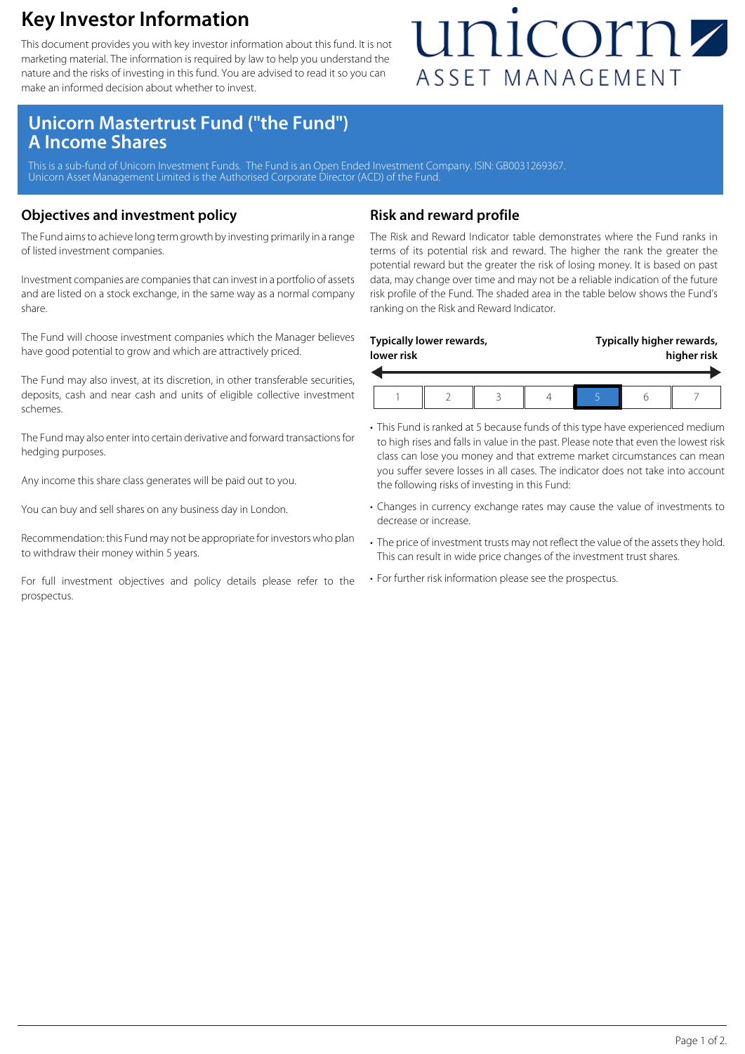### **Key Investor Information**

This document provides you with key investor information about this fund. It is not marketing material. The information is required by law to help you understand the nature and the risks of investing in this fund. You are advised to read it so you can make an informed decision about whether to invest.

## unicornz ASSET MANAGEMENT

### **Unicorn Mastertrust Fund ("the Fund") A Income Shares**

This is a sub-fund of Unicorn Investment Funds. The Fund is an Open Ended Investment Company. ISIN: GB0031269367. Unicorn Asset Management Limited is the Authorised Corporate Director (ACD) of the Fund.

#### **Objectives and investment policy**

The Fund aims to achieve long term growth by investing primarily in a range of listed investment companies.

Investment companies are companies that can invest in a portfolio of assets and are listed on a stock exchange, in the same way as a normal company share.

The Fund will choose investment companies which the Manager believes have good potential to grow and which are attractively priced.

The Fund may also invest, at its discretion, in other transferable securities, deposits, cash and near cash and units of eligible collective investment schemes.

The Fund may also enter into certain derivative and forward transactions for hedging purposes.

Any income this share class generates will be paid out to you.

You can buy and sell shares on any business day in London.

Recommendation: this Fund may not be appropriate for investors who plan to withdraw their money within 5 years.

For full investment objectives and policy details please refer to the prospectus.

#### **Risk and reward profile**

The Risk and Reward Indicator table demonstrates where the Fund ranks in terms of its potential risk and reward. The higher the rank the greater the potential reward but the greater the risk of losing money. It is based on past data, may change over time and may not be a reliable indication of the future risk profile of the Fund. The shaded area in the table below shows the Fund's ranking on the Risk and Reward Indicator.

| lower risk | Typically lower rewards, |  | Typically higher rewards,<br>higher risk |  |  |
|------------|--------------------------|--|------------------------------------------|--|--|
|            |                          |  |                                          |  |  |

- This Fund is ranked at 5 because funds of this type have experienced medium to high rises and falls in value in the past. Please note that even the lowest risk class can lose you money and that extreme market circumstances can mean you suffer severe losses in all cases. The indicator does not take into account the following risks of investing in this Fund:
- Changes in currency exchange rates may cause the value of investments to decrease or increase.
- The price of investment trusts may not reflect the value of the assets they hold. This can result in wide price changes of the investment trust shares.
- For further risk information please see the prospectus.